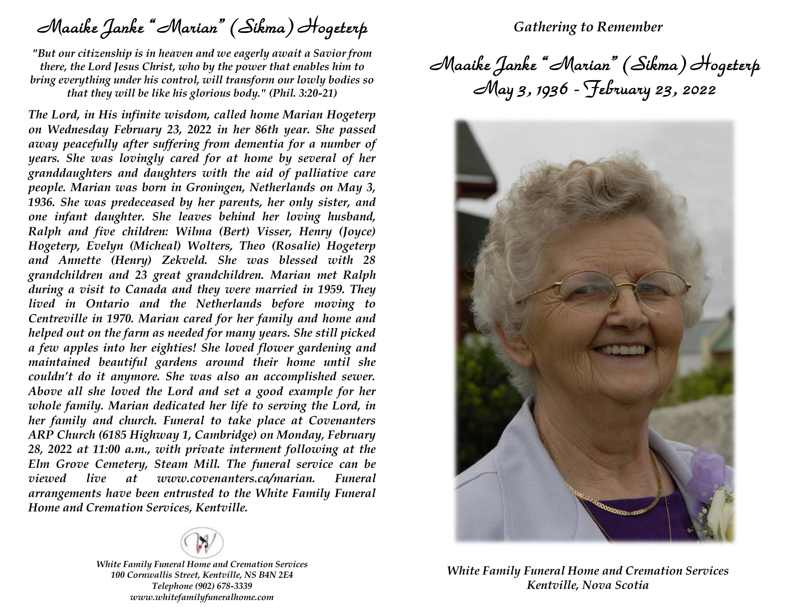Maaike Janke "Marian" (Sikma) Hogeterp

*"But our citizenship is in heaven and we eagerly await a Savior from there, the Lord Jesus Christ, who by the power that enables him to bring everything under his control, will transform our lowly bodies so that they will be like his glorious body." (Phil. 3:20-21)*

*The Lord, in His infinite wisdom, called home Marian Hogeterp on Wednesday February 23, 2022 in her 86th year. She passed away peacefully after suffering from dementia for a number of years. She was lovingly cared for at home by several of her granddaughters and daughters with the aid of palliative care people. Marian was born in Groningen, Netherlands on May 3, 1936. She was predeceased by her parents, her only sister, and one infant daughter. She leaves behind her loving husband, Ralph and five children: Wilma (Bert) Visser, Henry (Joyce) Hogeterp, Evelyn (Micheal) Wolters, Theo (Rosalie) Hogeterp and Annette (Henry) Zekveld. She was blessed with 28 grandchildren and 23 great grandchildren. Marian met Ralph during a visit to Canada and they were married in 1959. They lived in Ontario and the Netherlands before moving to Centreville in 1970. Marian cared for her family and home and helped out on the farm as needed for many years. She still picked a few apples into her eighties! She loved flower gardening and maintained beautiful gardens around their home until she couldn't do it anymore. She was also an accomplished sewer. Above all she loved the Lord and set a good example for her whole family. Marian dedicated her life to serving the Lord, in her family and church. Funeral to take place at Covenanters ARP Church (6185 Highway 1, Cambridge) on Monday, February 28, 2022 at 11:00 a.m., with private interment following at the Elm Grove Cemetery, Steam Mill. The funeral service can be viewed live at www.covenanters.ca/marian. Funeral arrangements have been entrusted to the White Family Funeral Home and Cremation Services, Kentville.*



*White Family Funeral Home and Cremation Services 100 Cornwallis Street, Kentville, NS B4N 2E4 Telephone (902) 678-3339 www.whitefamilyfuneralhome.com*

## *Gathering to Remember*

Maaike Janke "Marian" (Sikma) Hogeterp May 3, 1936 - February 23, 2022



*White Family Funeral Home and Cremation Services Kentville, Nova Scotia*